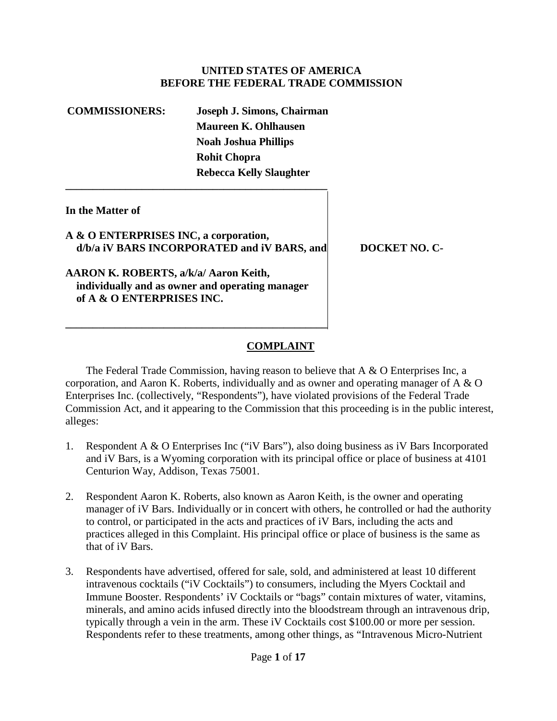### **UNITED STATES OF AMERICA BEFORE THE FEDERAL TRADE COMMISSION**

**COMMISSIONERS: Joseph J. Simons, Chairman Maureen K. Ohlhausen Noah Joshua Phillips Rohit Chopra Rebecca Kelly Slaughter \_\_\_\_\_\_\_\_\_\_\_\_\_\_\_\_\_\_\_\_\_\_\_\_\_\_\_\_\_\_\_\_\_\_\_\_\_\_\_\_\_\_\_\_\_\_\_\_**

## **In the Matter of**

**A & O ENTERPRISES INC, a corporation,**  d/b/a iV BARS INCORPORATED and iV BARS, and DOCKET NO. C-

**AARON K. ROBERTS, a/k/a/ Aaron Keith, individually and as owner and operating manager of A & O ENTERPRISES INC.**

**\_\_\_\_\_\_\_\_\_\_\_\_\_\_\_\_\_\_\_\_\_\_\_\_\_\_\_\_\_\_\_\_\_\_\_\_\_\_\_\_\_\_\_\_\_\_\_\_**

## **COMPLAINT**

The Federal Trade Commission, having reason to believe that A & O Enterprises Inc, a corporation, and Aaron K. Roberts, individually and as owner and operating manager of A & O Enterprises Inc. (collectively, "Respondents"), have violated provisions of the Federal Trade Commission Act, and it appearing to the Commission that this proceeding is in the public interest, alleges:

- 1. Respondent A & O Enterprises Inc ("iV Bars"), also doing business as iV Bars Incorporated and iV Bars, is a Wyoming corporation with its principal office or place of business at 4101 Centurion Way, Addison, Texas 75001.
- 2. Respondent Aaron K. Roberts, also known as Aaron Keith, is the owner and operating manager of iV Bars. Individually or in concert with others, he controlled or had the authority to control, or participated in the acts and practices of iV Bars, including the acts and practices alleged in this Complaint. His principal office or place of business is the same as that of iV Bars.
- 3. Respondents have advertised, offered for sale, sold, and administered at least 10 different intravenous cocktails ("iV Cocktails") to consumers, including the Myers Cocktail and Immune Booster. Respondents' iV Cocktails or "bags" contain mixtures of water, vitamins, minerals, and amino acids infused directly into the bloodstream through an intravenous drip, typically through a vein in the arm. These iV Cocktails cost \$100.00 or more per session. Respondents refer to these treatments, among other things, as "Intravenous Micro-Nutrient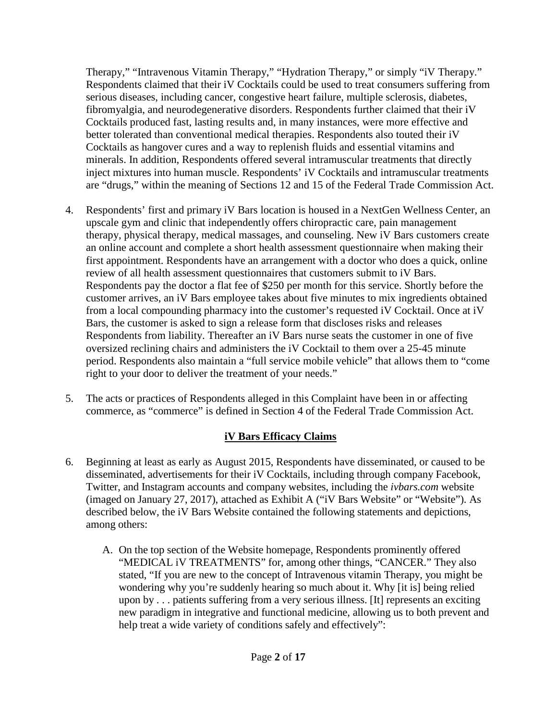Therapy," "Intravenous Vitamin Therapy," "Hydration Therapy," or simply "iV Therapy." Respondents claimed that their iV Cocktails could be used to treat consumers suffering from serious diseases, including cancer, congestive heart failure, multiple sclerosis, diabetes, fibromyalgia, and neurodegenerative disorders. Respondents further claimed that their iV Cocktails produced fast, lasting results and, in many instances, were more effective and better tolerated than conventional medical therapies. Respondents also touted their iV Cocktails as hangover cures and a way to replenish fluids and essential vitamins and minerals. In addition, Respondents offered several intramuscular treatments that directly inject mixtures into human muscle. Respondents' iV Cocktails and intramuscular treatments are "drugs," within the meaning of Sections 12 and 15 of the Federal Trade Commission Act.

- 4. Respondents' first and primary iV Bars location is housed in a NextGen Wellness Center, an upscale gym and clinic that independently offers chiropractic care, pain management therapy, physical therapy, medical massages, and counseling. New iV Bars customers create an online account and complete a short health assessment questionnaire when making their first appointment. Respondents have an arrangement with a doctor who does a quick, online review of all health assessment questionnaires that customers submit to iV Bars. Respondents pay the doctor a flat fee of \$250 per month for this service. Shortly before the customer arrives, an iV Bars employee takes about five minutes to mix ingredients obtained from a local compounding pharmacy into the customer's requested iV Cocktail. Once at iV Bars, the customer is asked to sign a release form that discloses risks and releases Respondents from liability. Thereafter an iV Bars nurse seats the customer in one of five oversized reclining chairs and administers the iV Cocktail to them over a 25-45 minute period. Respondents also maintain a "full service mobile vehicle" that allows them to "come right to your door to deliver the treatment of your needs."
- 5. The acts or practices of Respondents alleged in this Complaint have been in or affecting commerce, as "commerce" is defined in Section 4 of the Federal Trade Commission Act.

## **iV Bars Efficacy Claims**

- 6. Beginning at least as early as August 2015, Respondents have disseminated, or caused to be disseminated, advertisements for their iV Cocktails, including through company Facebook, Twitter, and Instagram accounts and company websites, including the *ivbars.com* website (imaged on January 27, 2017), attached as Exhibit A ("iV Bars Website" or "Website"). As described below, the iV Bars Website contained the following statements and depictions, among others:
	- A. On the top section of the Website homepage, Respondents prominently offered "MEDICAL IV TREATMENTS" for, among other things, "CANCER." They also stated, "If you are new to the concept of Intravenous vitamin Therapy, you might be wondering why you're suddenly hearing so much about it. Why [it is] being relied upon by . . . patients suffering from a very serious illness. [It] represents an exciting new paradigm in integrative and functional medicine, allowing us to both prevent and help treat a wide variety of conditions safely and effectively":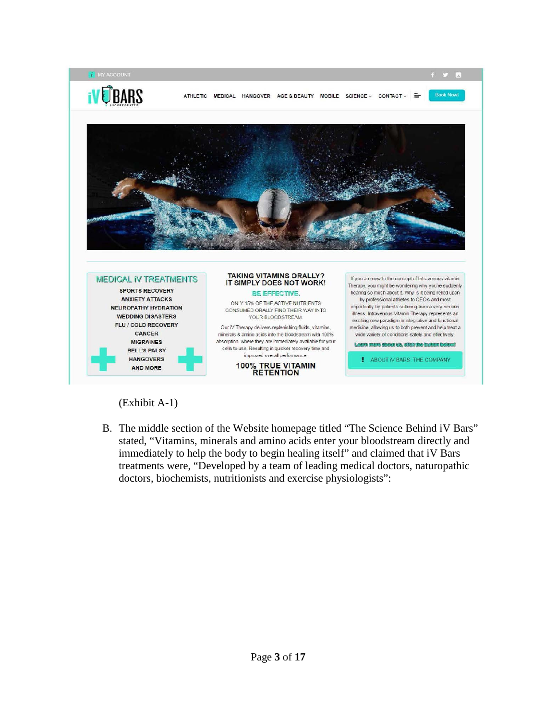

## (Exhibit A-1)

B. The middle section of the Website homepage titled "The Science Behind iV Bars" stated, "Vitamins, minerals and amino acids enter your bloodstream directly and immediately to help the body to begin healing itself" and claimed that iV Bars treatments were, "Developed by a team of leading medical doctors, naturopathic doctors, biochemists, nutritionists and exercise physiologists":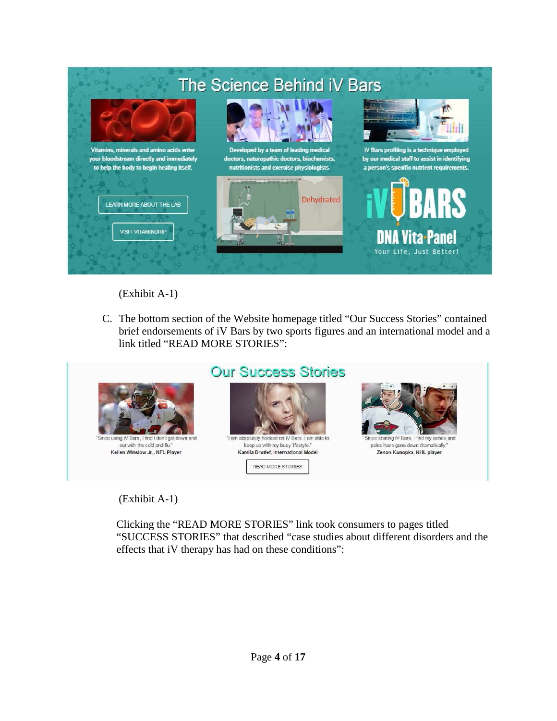

(Exhibit A-1)

C. The bottom section of the Website homepage titled "Our Success Stories" contained brief endorsements of iV Bars by two sports figures and an international model and a link titled "READ MORE STORIES":



out with the cold and flu." Kellen Winslow Jr., NFL Player

# **Our Success Stories**



keep up with my busy lifestyle." Kamila Drotlef, International Model

READ MORE STORIES



pains have gone down dramatically. Zenon Konopka, NHL player

## (Exhibit A-1)

Clicking the "READ MORE STORIES" link took consumers to pages titled "SUCCESS STORIES" that described "case studies about different disorders and the effects that iV therapy has had on these conditions":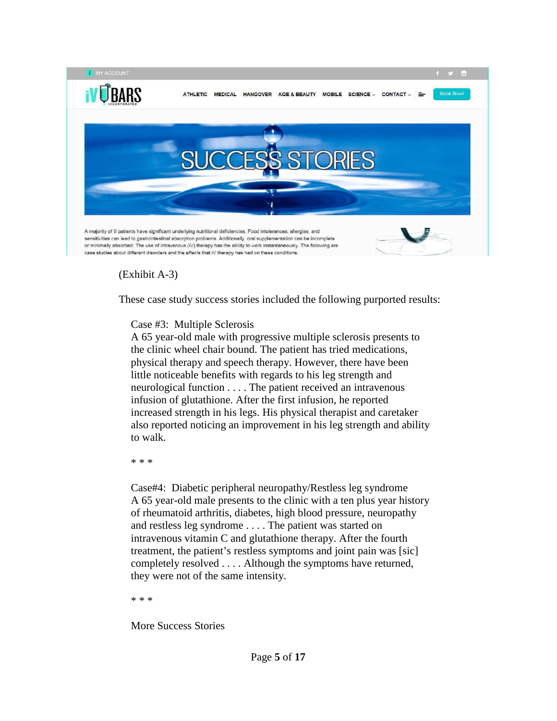

(Exhibit A-3)

These case study success stories included the following purported results:

## Case #3: Multiple Sclerosis

A 65 year-old male with progressive multiple sclerosis presents to the clinic wheel chair bound. The patient has tried medications, physical therapy and speech therapy. However, there have been little noticeable benefits with regards to his leg strength and neurological function . . . . The patient received an intravenous infusion of glutathione. After the first infusion, he reported increased strength in his legs. His physical therapist and caretaker also reported noticing an improvement in his leg strength and ability to walk.

\* \* \*

Case#4: Diabetic peripheral neuropathy/Restless leg syndrome A 65 year-old male presents to the clinic with a ten plus year history of rheumatoid arthritis, diabetes, high blood pressure, neuropathy and restless leg syndrome . . . . The patient was started on intravenous vitamin C and glutathione therapy. After the fourth treatment, the patient's restless symptoms and joint pain was [sic] completely resolved . . . . Although the symptoms have returned, they were not of the same intensity.

\* \* \*

More Success Stories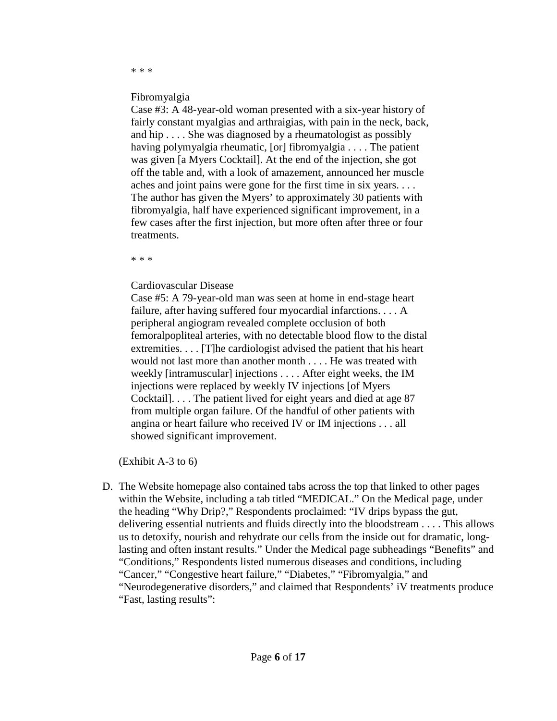# \* \* \*

#### Fibromyalgia

Case #3: A 48-year-old woman presented with a six-year history of fairly constant myalgias and arthraigias, with pain in the neck, back, and hip . . . . She was diagnosed by a rheumatologist as possibly having polymyalgia rheumatic, [or] fibromyalgia . . . . The patient was given [a Myers Cocktail]. At the end of the injection, she got off the table and, with a look of amazement, announced her muscle aches and joint pains were gone for the first time in six years. . . . The author has given the Myers' to approximately 30 patients with fibromyalgia, half have experienced significant improvement, in a few cases after the first injection, but more often after three or four treatments.

\* \* \*

### Cardiovascular Disease

Case #5: A 79-year-old man was seen at home in end-stage heart failure, after having suffered four myocardial infarctions. . . . A peripheral angiogram revealed complete occlusion of both femoralpopliteal arteries, with no detectable blood flow to the distal extremities. . . . [T]he cardiologist advised the patient that his heart would not last more than another month . . . . He was treated with weekly [intramuscular] injections . . . . After eight weeks, the IM injections were replaced by weekly IV injections [of Myers Cocktail]. . . . The patient lived for eight years and died at age 87 from multiple organ failure. Of the handful of other patients with angina or heart failure who received IV or IM injections . . . all showed significant improvement.

(Exhibit A-3 to 6)

D. The Website homepage also contained tabs across the top that linked to other pages within the Website, including a tab titled "MEDICAL." On the Medical page, under the heading "Why Drip?," Respondents proclaimed: "IV drips bypass the gut, delivering essential nutrients and fluids directly into the bloodstream . . . . This allows us to detoxify, nourish and rehydrate our cells from the inside out for dramatic, longlasting and often instant results." Under the Medical page subheadings "Benefits" and "Conditions," Respondents listed numerous diseases and conditions, including "Cancer," "Congestive heart failure," "Diabetes," "Fibromyalgia," and "Neurodegenerative disorders," and claimed that Respondents' iV treatments produce "Fast, lasting results":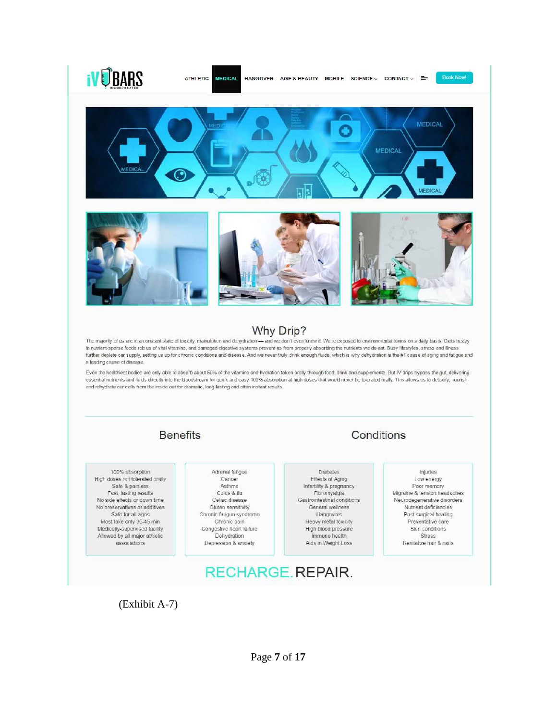

(Exhibit A-7)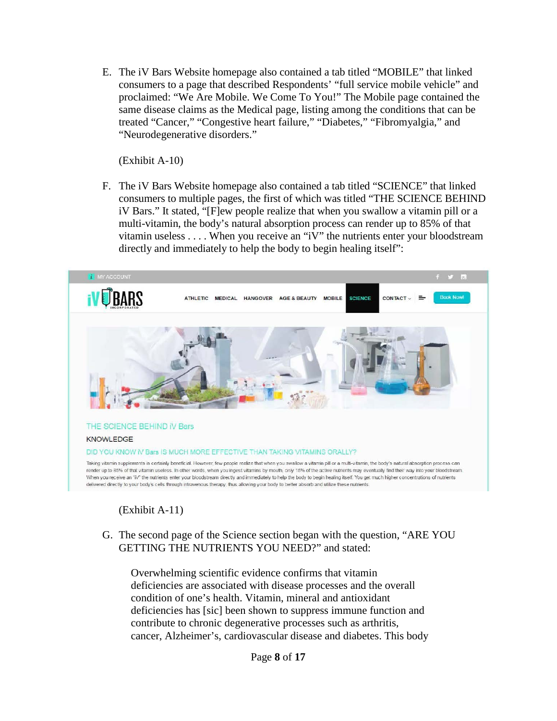E. The iV Bars Website homepage also contained a tab titled "MOBILE" that linked consumers to a page that described Respondents' "full service mobile vehicle" and proclaimed: "We Are Mobile. We Come To You!" The Mobile page contained the same disease claims as the Medical page, listing among the conditions that can be treated "Cancer," "Congestive heart failure," "Diabetes," "Fibromyalgia," and "Neurodegenerative disorders."

(Exhibit A-10)

F. The iV Bars Website homepage also contained a tab titled "SCIENCE" that linked consumers to multiple pages, the first of which was titled "THE SCIENCE BEHIND iV Bars." It stated, "[F]ew people realize that when you swallow a vitamin pill or a multi-vitamin, the body's natural absorption process can render up to 85% of that vitamin useless . . . . When you receive an "iV" the nutrients enter your bloodstream directly and immediately to help the body to begin healing itself":



## (Exhibit A-11)

G. The second page of the Science section began with the question, "ARE YOU GETTING THE NUTRIENTS YOU NEED?" and stated:

Overwhelming scientific evidence confirms that vitamin deficiencies are associated with disease processes and the overall condition of one's health. Vitamin, mineral and antioxidant deficiencies has [sic] been shown to suppress immune function and contribute to chronic degenerative processes such as arthritis, cancer, Alzheimer's, cardiovascular disease and diabetes. This body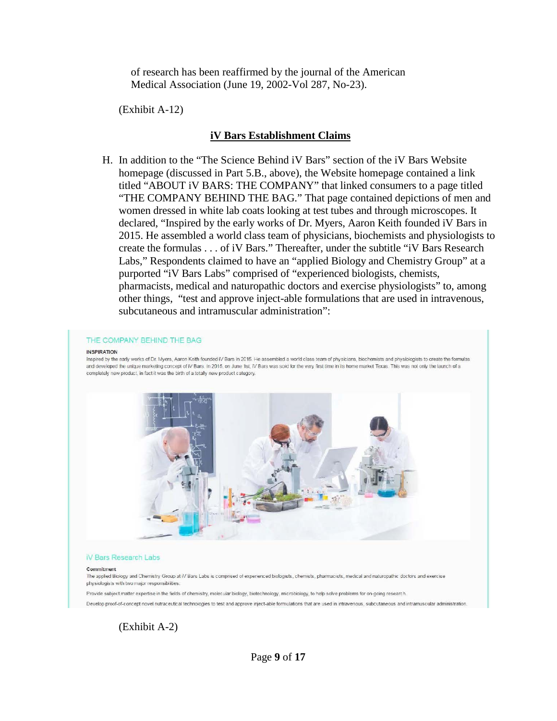of research has been reaffirmed by the journal of the American Medical Association (June 19, 2002-Vol 287, No-23).

(Exhibit A-12)

#### **iV Bars Establishment Claims**

H. In addition to the "The Science Behind iV Bars" section of the iV Bars Website homepage (discussed in Part 5.B., above), the Website homepage contained a link titled "ABOUT iV BARS: THE COMPANY" that linked consumers to a page titled "THE COMPANY BEHIND THE BAG." That page contained depictions of men and women dressed in white lab coats looking at test tubes and through microscopes. It declared, "Inspired by the early works of Dr. Myers, Aaron Keith founded iV Bars in 2015. He assembled a world class team of physicians, biochemists and physiologists to create the formulas . . . of iV Bars." Thereafter, under the subtitle "iV Bars Research Labs," Respondents claimed to have an "applied Biology and Chemistry Group" at a purported "iV Bars Labs" comprised of "experienced biologists, chemists, pharmacists, medical and naturopathic doctors and exercise physiologists" to, among other things, "test and approve inject-able formulations that are used in intravenous, subcutaneous and intramuscular administration":

#### THE COMPANY BEHIND THE BAG

#### **INSPIRATION**

Inspired by the early works of Dr. Myers, Aaron Keith founded iV Bars in 2015. He assembled a world class team of physicians, biochemists and physiologists to create the formulas and developed the unique marketing concept of M Bars. In 2015, on June 1st, M Bars was sold for the very first time in its home market Texas. This was not only the launch of a completely new product, in fact it was the birth of a totally new product category.



#### **iV Bars Research Labs**

#### Commitment

The applied Biology and Chemistry Group at IV Bars Labs is comprised of experienced biologists, chemists, pharmacists, medical and naturopathic doctors and exercise physiologists with two major responsibilities.

Provide subject matter expertise in the fields of chemistry, molecular biology, biotechnology, microbiology, to help solve problems for on-going research.

Develop proof-of-concept novel nutraceutical technologies to test and approve inject-able formulations that are used in intravenous, subcutaneous and intramuscular administration

(Exhibit A-2)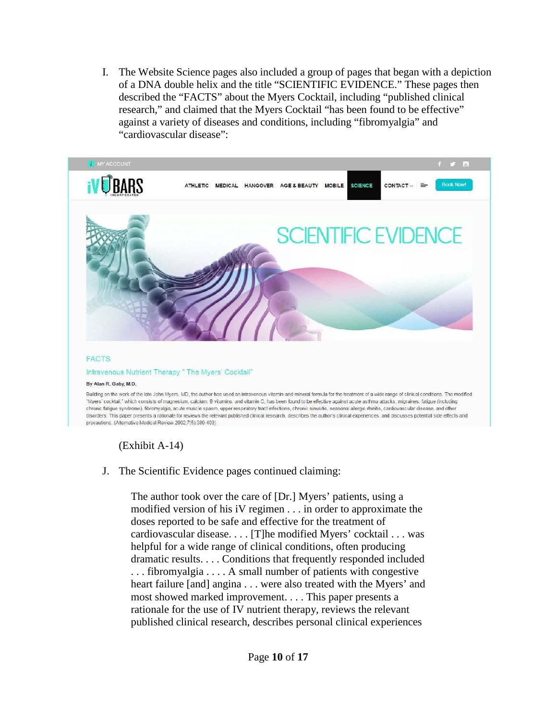I. The Website Science pages also included a group of pages that began with a depiction of a DNA double helix and the title "SCIENTIFIC EVIDENCE." These pages then described the "FACTS" about the Myers Cocktail, including "published clinical research," and claimed that the Myers Cocktail "has been found to be effective" against a variety of diseases and conditions, including "fibromyalgia" and "cardiovascular disease":



### (Exhibit A-14)

### J. The Scientific Evidence pages continued claiming:

The author took over the care of [Dr.] Myers' patients, using a modified version of his iV regimen . . . in order to approximate the doses reported to be safe and effective for the treatment of cardiovascular disease. . . . [T]he modified Myers' cocktail . . . was helpful for a wide range of clinical conditions, often producing dramatic results. . . . Conditions that frequently responded included . . . fibromyalgia . . . . A small number of patients with congestive heart failure [and] angina . . . were also treated with the Myers' and most showed marked improvement. . . . This paper presents a rationale for the use of IV nutrient therapy, reviews the relevant published clinical research, describes personal clinical experiences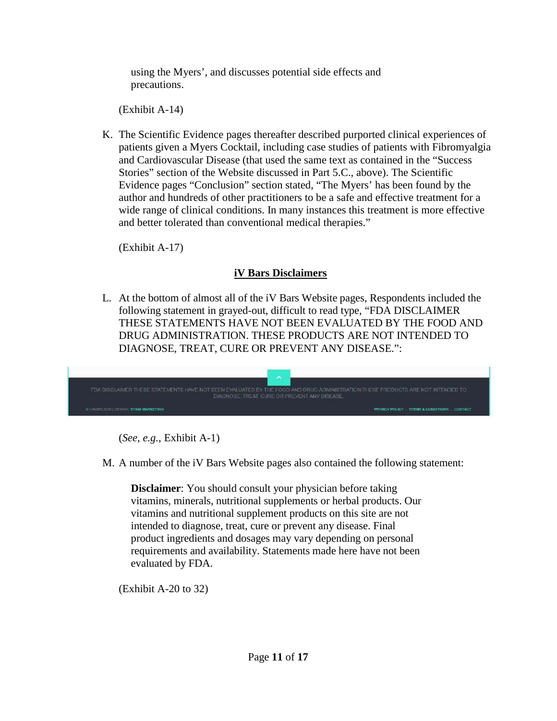using the Myers', and discusses potential side effects and precautions.

(Exhibit A-14)

K. The Scientific Evidence pages thereafter described purported clinical experiences of patients given a Myers Cocktail, including case studies of patients with Fibromyalgia and Cardiovascular Disease (that used the same text as contained in the "Success Stories" section of the Website discussed in Part 5.C., above). The Scientific Evidence pages "Conclusion" section stated, "The Myers' has been found by the author and hundreds of other practitioners to be a safe and effective treatment for a wide range of clinical conditions. In many instances this treatment is more effective and better tolerated than conventional medical therapies."

(Exhibit A-17)

## **iV Bars Disclaimers**

L. At the bottom of almost all of the iV Bars Website pages, Respondents included the following statement in grayed-out, difficult to read type, "FDA DISCLAIMER THESE STATEMENTS HAVE NOT BEEN EVALUATED BY THE FOOD AND DRUG ADMINISTRATION. THESE PRODUCTS ARE NOT INTENDED TO DIAGNOSE, TREAT, CURE OR PREVENT ANY DISEASE.":

| FDA DISCLAIMER THESE STATEMENTS HAVE NOT BEEN EVALUATED BY THE FOOD AND DRUG ADMINISTRATION THESE PRODUCTS ARE NOT INTENDED TO<br>DIAGNOSE, TREAT, CURE OR PREVENT ANY DISEASE. |                                           |
|---------------------------------------------------------------------------------------------------------------------------------------------------------------------------------|-------------------------------------------|
| <b>© IVEARS 2016 LDESIGN: STING MARKETING</b>                                                                                                                                   | PRIMACY POLICY TERMS & CONDITIONS CONTACT |

(*See, e.g.,* Exhibit A-1)

M. A number of the iV Bars Website pages also contained the following statement:

**Disclaimer**: You should consult your physician before taking vitamins, minerals, nutritional supplements or herbal products. Our vitamins and nutritional supplement products on this site are not intended to diagnose, treat, cure or prevent any disease. Final product ingredients and dosages may vary depending on personal requirements and availability. Statements made here have not been evaluated by FDA.

(Exhibit A-20 to 32)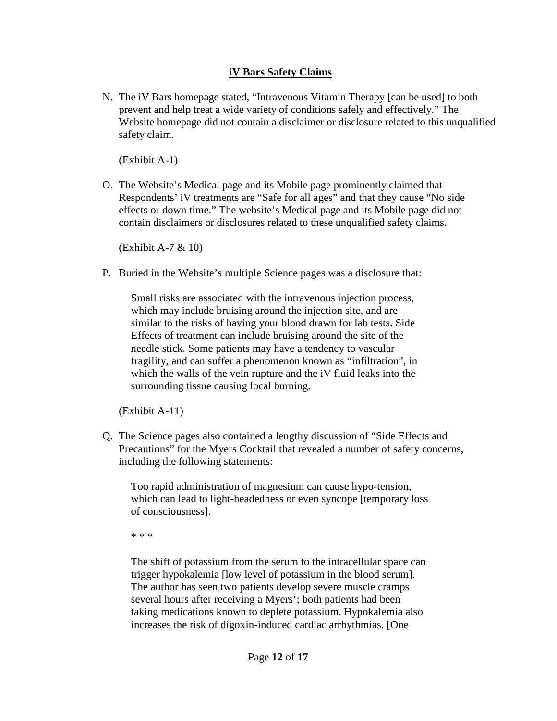## **iV Bars Safety Claims**

N. The iV Bars homepage stated, "Intravenous Vitamin Therapy [can be used] to both prevent and help treat a wide variety of conditions safely and effectively." The Website homepage did not contain a disclaimer or disclosure related to this unqualified safety claim.

(Exhibit A-1)

O. The Website's Medical page and its Mobile page prominently claimed that Respondents' iV treatments are "Safe for all ages" and that they cause "No side effects or down time." The website's Medical page and its Mobile page did not contain disclaimers or disclosures related to these unqualified safety claims.

(Exhibit A-7 & 10)

P. Buried in the Website's multiple Science pages was a disclosure that:

Small risks are associated with the intravenous injection process, which may include bruising around the injection site, and are similar to the risks of having your blood drawn for lab tests. Side Effects of treatment can include bruising around the site of the needle stick. Some patients may have a tendency to vascular fragility, and can suffer a phenomenon known as "infiltration", in which the walls of the vein rupture and the iV fluid leaks into the surrounding tissue causing local burning.

(Exhibit A-11)

Q. The Science pages also contained a lengthy discussion of "Side Effects and Precautions" for the Myers Cocktail that revealed a number of safety concerns, including the following statements:

Too rapid administration of magnesium can cause hypo-tension, which can lead to light-headedness or even syncope [temporary loss of consciousness].

\* \* \*

The shift of potassium from the serum to the intracellular space can trigger hypokalemia [low level of potassium in the blood serum]. The author has seen two patients develop severe muscle cramps several hours after receiving a Myers'; both patients had been taking medications known to deplete potassium. Hypokalemia also increases the risk of digoxin-induced cardiac arrhythmias. [One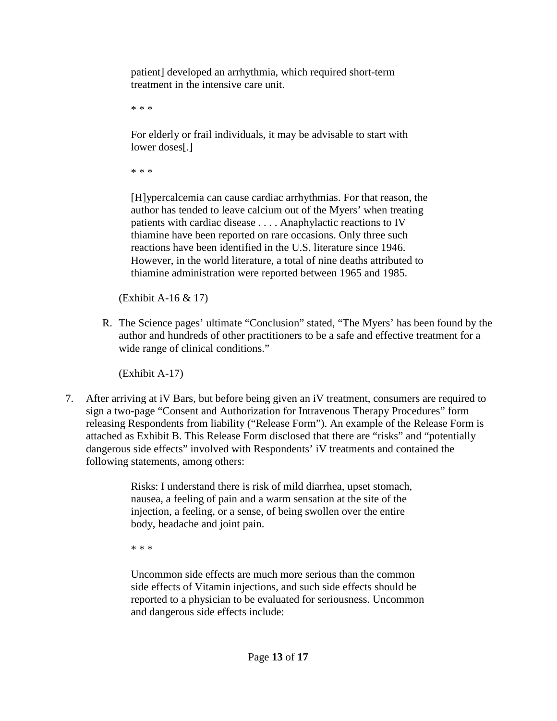patient] developed an arrhythmia, which required short-term treatment in the intensive care unit.

\* \* \*

For elderly or frail individuals, it may be advisable to start with lower doses[.]

\* \* \*

[H]ypercalcemia can cause cardiac arrhythmias. For that reason, the author has tended to leave calcium out of the Myers' when treating patients with cardiac disease . . . . Anaphylactic reactions to IV thiamine have been reported on rare occasions. Only three such reactions have been identified in the U.S. literature since 1946. However, in the world literature, a total of nine deaths attributed to thiamine administration were reported between 1965 and 1985.

(Exhibit A-16 & 17)

R. The Science pages' ultimate "Conclusion" stated, "The Myers' has been found by the author and hundreds of other practitioners to be a safe and effective treatment for a wide range of clinical conditions."

(Exhibit A-17)

7. After arriving at iV Bars, but before being given an iV treatment, consumers are required to sign a two-page "Consent and Authorization for Intravenous Therapy Procedures" form releasing Respondents from liability ("Release Form"). An example of the Release Form is attached as Exhibit B. This Release Form disclosed that there are "risks" and "potentially dangerous side effects" involved with Respondents' iV treatments and contained the following statements, among others:

> Risks: I understand there is risk of mild diarrhea, upset stomach, nausea, a feeling of pain and a warm sensation at the site of the injection, a feeling, or a sense, of being swollen over the entire body, headache and joint pain.

\* \* \*

Uncommon side effects are much more serious than the common side effects of Vitamin injections, and such side effects should be reported to a physician to be evaluated for seriousness. Uncommon and dangerous side effects include: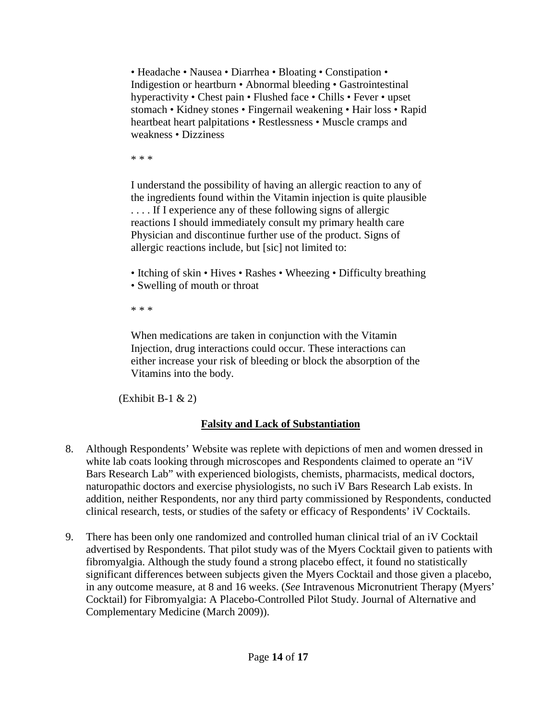• Headache • Nausea • Diarrhea • Bloating • Constipation • Indigestion or heartburn • Abnormal bleeding • Gastrointestinal hyperactivity • Chest pain • Flushed face • Chills • Fever • upset stomach • Kidney stones • Fingernail weakening • Hair loss • Rapid heartbeat heart palpitations • Restlessness • Muscle cramps and weakness • Dizziness

\* \* \*

I understand the possibility of having an allergic reaction to any of the ingredients found within the Vitamin injection is quite plausible . . . . If I experience any of these following signs of allergic reactions I should immediately consult my primary health care Physician and discontinue further use of the product. Signs of allergic reactions include, but [sic] not limited to:

- Itching of skin Hives Rashes Wheezing Difficulty breathing
- Swelling of mouth or throat

\* \* \*

When medications are taken in conjunction with the Vitamin Injection, drug interactions could occur. These interactions can either increase your risk of bleeding or block the absorption of the Vitamins into the body.

 $(Exhibit B-1 & 2)$ 

# **Falsity and Lack of Substantiation**

- 8. Although Respondents' Website was replete with depictions of men and women dressed in white lab coats looking through microscopes and Respondents claimed to operate an "iV Bars Research Lab" with experienced biologists, chemists, pharmacists, medical doctors, naturopathic doctors and exercise physiologists, no such iV Bars Research Lab exists. In addition, neither Respondents, nor any third party commissioned by Respondents, conducted clinical research, tests, or studies of the safety or efficacy of Respondents' iV Cocktails.
- 9. There has been only one randomized and controlled human clinical trial of an iV Cocktail advertised by Respondents. That pilot study was of the Myers Cocktail given to patients with fibromyalgia. Although the study found a strong placebo effect, it found no statistically significant differences between subjects given the Myers Cocktail and those given a placebo, in any outcome measure, at 8 and 16 weeks. (*See* Intravenous Micronutrient Therapy (Myers' Cocktail) for Fibromyalgia: A Placebo-Controlled Pilot Study. Journal of Alternative and Complementary Medicine (March 2009)).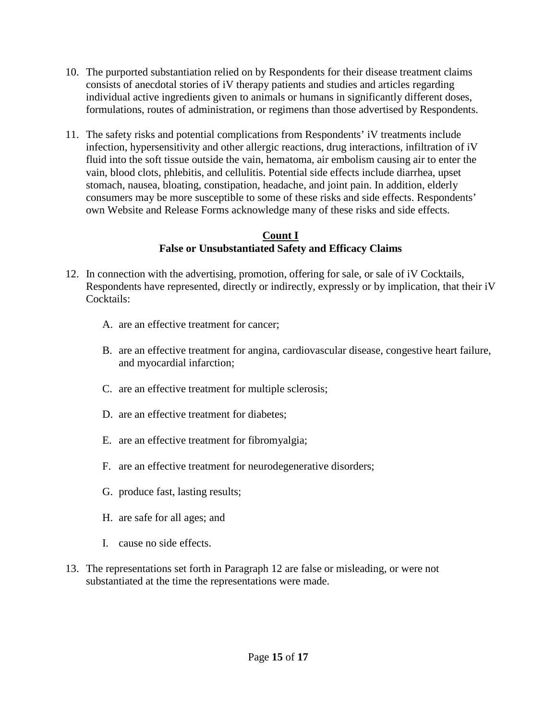- 10. The purported substantiation relied on by Respondents for their disease treatment claims consists of anecdotal stories of iV therapy patients and studies and articles regarding individual active ingredients given to animals or humans in significantly different doses, formulations, routes of administration, or regimens than those advertised by Respondents.
- 11. The safety risks and potential complications from Respondents' iV treatments include infection, hypersensitivity and other allergic reactions, drug interactions, infiltration of iV fluid into the soft tissue outside the vain, hematoma, air embolism causing air to enter the vain, blood clots, phlebitis, and cellulitis. Potential side effects include diarrhea, upset stomach, nausea, bloating, constipation, headache, and joint pain. In addition, elderly consumers may be more susceptible to some of these risks and side effects. Respondents' own Website and Release Forms acknowledge many of these risks and side effects.

## **Count I False or Unsubstantiated Safety and Efficacy Claims**

- 12. In connection with the advertising, promotion, offering for sale, or sale of iV Cocktails, Respondents have represented, directly or indirectly, expressly or by implication, that their iV Cocktails:
	- A. are an effective treatment for cancer;
	- B. are an effective treatment for angina, cardiovascular disease, congestive heart failure, and myocardial infarction;
	- C. are an effective treatment for multiple sclerosis;
	- D. are an effective treatment for diabetes;
	- E. are an effective treatment for fibromyalgia;
	- F. are an effective treatment for neurodegenerative disorders;
	- G. produce fast, lasting results;
	- H. are safe for all ages; and
	- I. cause no side effects.
- 13. The representations set forth in Paragraph 12 are false or misleading, or were not substantiated at the time the representations were made.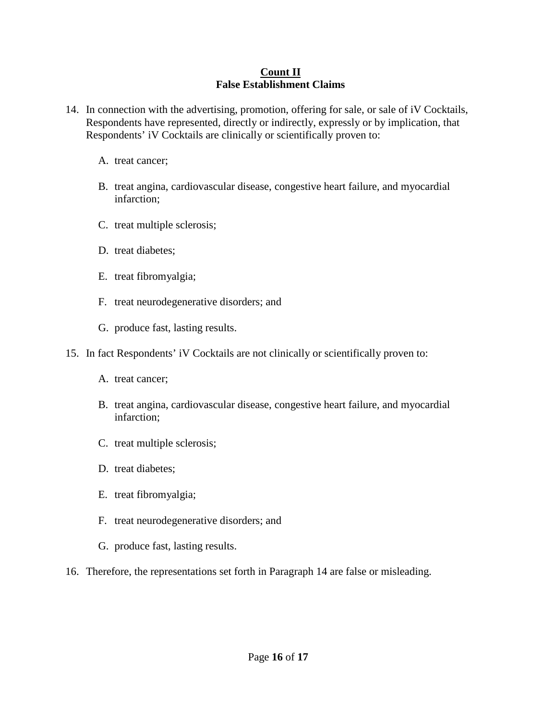## **Count II False Establishment Claims**

- 14. In connection with the advertising, promotion, offering for sale, or sale of iV Cocktails, Respondents have represented, directly or indirectly, expressly or by implication, that Respondents' iV Cocktails are clinically or scientifically proven to:
	- A. treat cancer;
	- B. treat angina, cardiovascular disease, congestive heart failure, and myocardial infarction;
	- C. treat multiple sclerosis;
	- D. treat diabetes;
	- E. treat fibromyalgia;
	- F. treat neurodegenerative disorders; and
	- G. produce fast, lasting results.
- 15. In fact Respondents' iV Cocktails are not clinically or scientifically proven to:
	- A. treat cancer;
	- B. treat angina, cardiovascular disease, congestive heart failure, and myocardial infarction;
	- C. treat multiple sclerosis;
	- D. treat diabetes;
	- E. treat fibromyalgia;
	- F. treat neurodegenerative disorders; and
	- G. produce fast, lasting results.
- 16. Therefore, the representations set forth in Paragraph 14 are false or misleading.